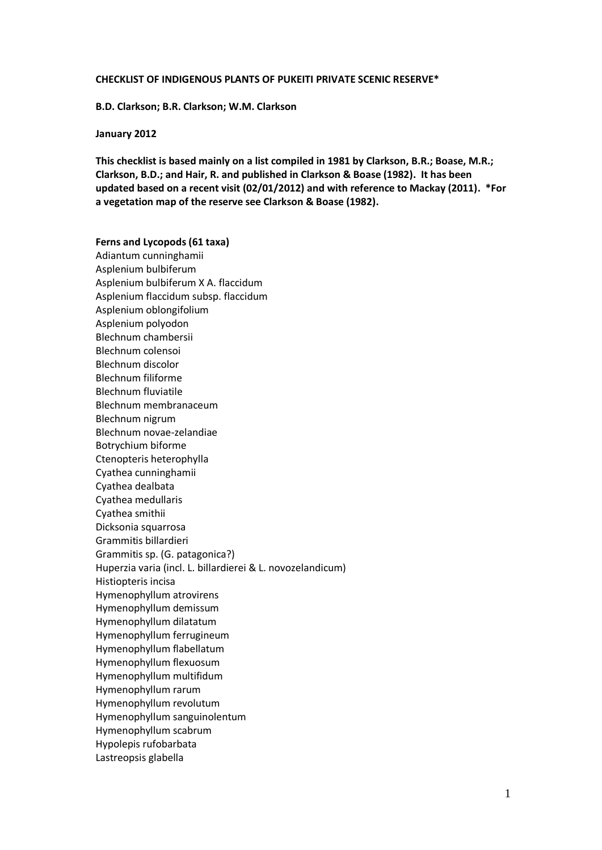#### **CHECKLIST OF INDIGENOUS PLANTS OF PUKEITI PRIVATE SCENIC RESERVE\***

**B.D. Clarkson; B.R. Clarkson; W.M. Clarkson**

## **January 2012**

**This checklist is based mainly on a list compiled in 1981 by Clarkson, B.R.; Boase, M.R.; Clarkson, B.D.; and Hair, R. and published in Clarkson & Boase (1982). It has been updated based on a recent visit (02/01/2012) and with reference to Mackay (2011). \*For a vegetation map of the reserve see Clarkson & Boase (1982).**

**Ferns and Lycopods (61 taxa)** Adiantum cunninghamii Asplenium bulbiferum Asplenium bulbiferum X A. flaccidum Asplenium flaccidum subsp. flaccidum Asplenium oblongifolium Asplenium polyodon Blechnum chambersii Blechnum colensoi Blechnum discolor Blechnum filiforme Blechnum fluviatile Blechnum membranaceum Blechnum nigrum Blechnum novae-zelandiae Botrychium biforme Ctenopteris heterophylla Cyathea cunninghamii Cyathea dealbata Cyathea medullaris Cyathea smithii Dicksonia squarrosa Grammitis billardieri Grammitis sp. (G. patagonica?) Huperzia varia (incl. L. billardierei & L. novozelandicum) Histiopteris incisa Hymenophyllum atrovirens Hymenophyllum demissum Hymenophyllum dilatatum Hymenophyllum ferrugineum Hymenophyllum flabellatum Hymenophyllum flexuosum Hymenophyllum multifidum Hymenophyllum rarum Hymenophyllum revolutum Hymenophyllum sanguinolentum Hymenophyllum scabrum Hypolepis rufobarbata Lastreopsis glabella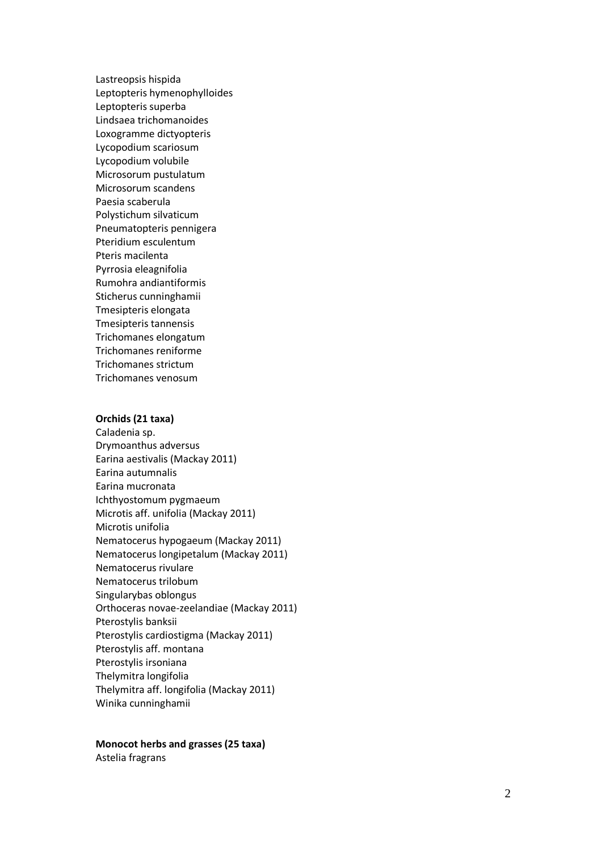Lastreopsis hispida Leptopteris hymenophylloides Leptopteris superba Lindsaea trichomanoides Loxogramme dictyopteris Lycopodium scariosum Lycopodium volubile Microsorum pustulatum Microsorum scandens Paesia scaberula Polystichum silvaticum Pneumatopteris pennigera Pteridium esculentum Pteris macilenta Pyrrosia eleagnifolia Rumohra andiantiformis Sticherus cunninghamii Tmesipteris elongata Tmesipteris tannensis Trichomanes elongatum Trichomanes reniforme Trichomanes strictum Trichomanes venosum

#### **Orchids (2 1 taxa)**

Caladenia sp. Drymoanthus adversus Earina aestivalis (Mackay 2011) Earina autumnalis Earina mucronata Ichthyostomum pygmaeum Microtis aff. unifolia (Mackay 2011) Microtis unifolia Nematocerus hypogaeum (Mackay 2011) Nematocerus longipetalum (Mackay 2011) Nematocerus rivulare Nematocerus trilobum Singularybas oblongus Orthoceras novae -zeelandiae (Mackay 2011) Pterostylis banksii Pterostylis cardiostigma (Mackay 2011) Pterostylis aff. montana Pterostylis irsoniana Thelymitra longifolia Thelymitra aff. longifolia (Mackay 2011) Winika cunninghamii

# **Monocot herbs and grasses (2 5 taxa)**

Astelia fragrans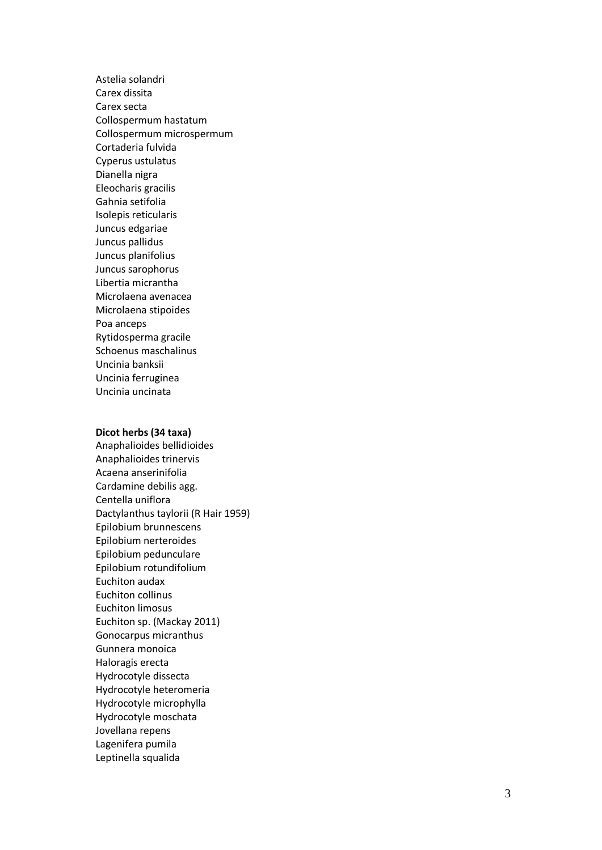Astelia solandri Carex dissita Carex secta Collospermum hastatum Collospermum microspermum Cortaderia fulvida Cyperus ustulatus Dianella nigra Eleocharis gracilis Gahnia setifolia Isolepis reticularis Juncus edgariae Juncus pallidus Juncus planifolius Juncus sarophorus Libertia micrantha Microlaena avenacea Microlaena stipoides Poa anceps Rytidosperma gracile Schoenus maschalinus Uncinia banksii Uncinia ferruginea Uncinia uncinata

## **Dicot herbs (3 4 taxa)**

Anaphalioides bellidioides Anaphalioides trinervis Acaena anserinifolia Cardamine debilis agg. Centella uniflora Dactylanthus taylorii (R Hair 1959) Epilobium brunnescens Epilobium nerteroides Epilobium pedunculare Epilobium rotundifolium Euchiton audax Euchiton collinus Euchiton limosus Euchiton sp. (Mackay 2011) Gonocarpus micranthus Gunnera monoica Haloragis erecta Hydrocotyle dissecta Hydrocotyle heteromeria Hydrocotyle microphylla Hydrocotyle moschata Jovellana repens Lagenifera pumila Leptinella squalida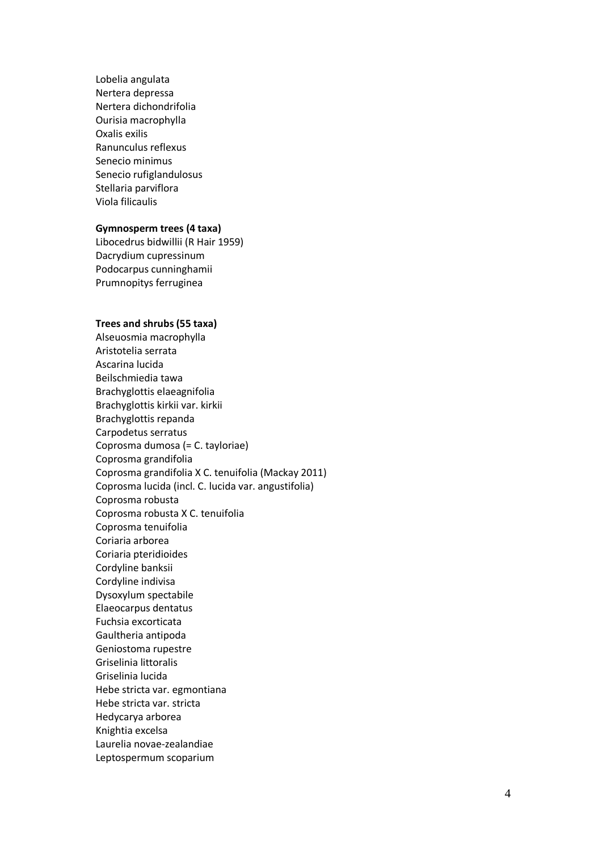Lobelia angulata Nertera depressa Nertera dichondrifolia Ourisia macrophylla Oxalis exilis Ranunculus reflexus Senecio minimus Senecio rufiglandulosus Stellaria parviflora Viola filicaulis

# **Gymnosperm trees (4 taxa)**

Libocedrus bidwillii (R Hair 1959) Dacrydium cupressinum Podocarpus cunninghamii Prum nopitys ferruginea

# **Trees and shrubs (5 5 taxa)**

Alseuosmia macrophylla Aristotelia serrata Ascarina lucida Beilschmiedia tawa Brachyglottis el aeagnifolia Brachyglottis kirkii var. kirkii Brachyglottis repanda Carpodetus serratus Coprosma dumosa (= C. tayloriae) Coprosma grandifolia Coprosma grandifolia X C. tenuifolia (Mackay 2011) Coprosma lucida (incl. C. lucida var. angustifolia) Coprosma robusta Coprosma robusta X C. tenuifolia Coprosma tenuifolia Coriaria arborea Coriaria pteridioides Cordyline banksii Cordyline indivisa Dysoxylum spectabile Elaeocarpus dentatus Fuchsia excorticata Gaultheria antipoda Geniostoma rupestre Griselinia littoralis Griselinia lucida Hebe stricta var. egmontiana Hebe stricta var. stricta Hedycarya arborea Knightia excelsa Laurelia novae -zealandiae Leptospermum scoparium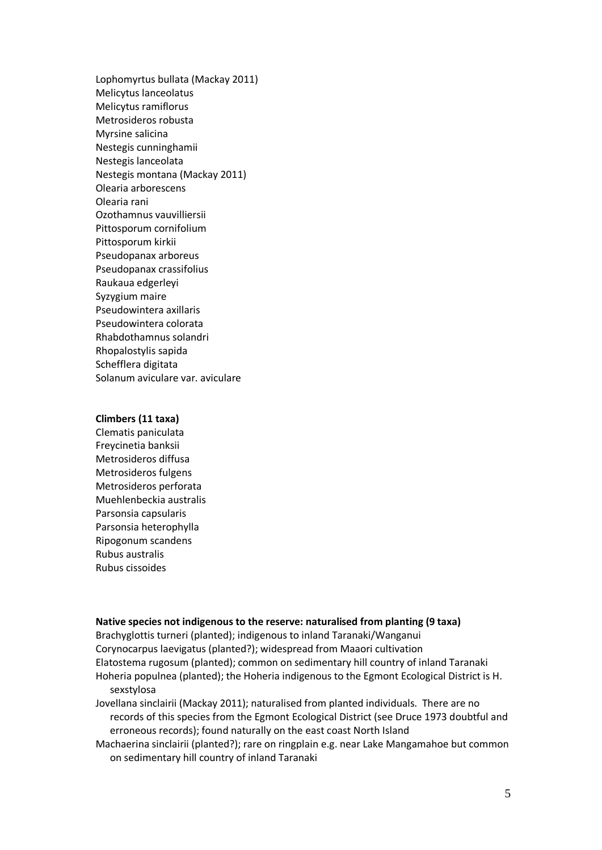Lophomyrtus bullata (Mackay 2011) Melicytus lanceolatus Melicytus ramiflorus Metrosideros robusta Myrsine salicina Nestegis cunninghamii Nestegis lanceolata Nestegis montana (Mackay 2011) Olearia arborescens Olearia rani Ozothamnus vauvilliersii Pittosporum cornifolium Pittosporum kirkii Pseudopanax arboreus Pseudopanax crassifolius Raukaua edgerleyi Syzygium maire Pseudowintera axillaris Pseudowintera colorata Rhabdothamnus solandri Rhopalostylis sapida Schefflera digitata Solanum aviculare var. aviculare

### **Climbers (11 taxa)**

Clematis paniculata Freycinetia banksii Metrosideros diffusa Metrosideros fulgens Metrosideros perforata Muehlenbeckia australis Parsonsia capsularis Parsonsia heterophylla Ripogonum scandens Rubus australis Rubus cissoides

## **Native species not indigenous to the reserve: naturalised from planting (9 taxa)**

Brachyglottis turneri (planted); indigenous to inland Taranaki/Wanganui Corynocarpus laevigatus (planted?); widespread from Maaori cultivation Elatostema rugosum (planted); common on sedimentary hill country of inland Taranaki Hoheria populnea (planted); the Hoheria indigenous to the Egmont Ecological District is H. sexstylosa

Jovellana sinclairii (Mackay 2011); naturalised from planted individuals. There are no records of this species from the Egmont Ecological District (see Druce 1973 doubtful and erroneous records); found naturally on the east coast North Island

Machaerina sinclairii (planted?); rare on ringplain e.g. near Lake Mangamahoe but common on sedimentary hill country of inland Taranaki